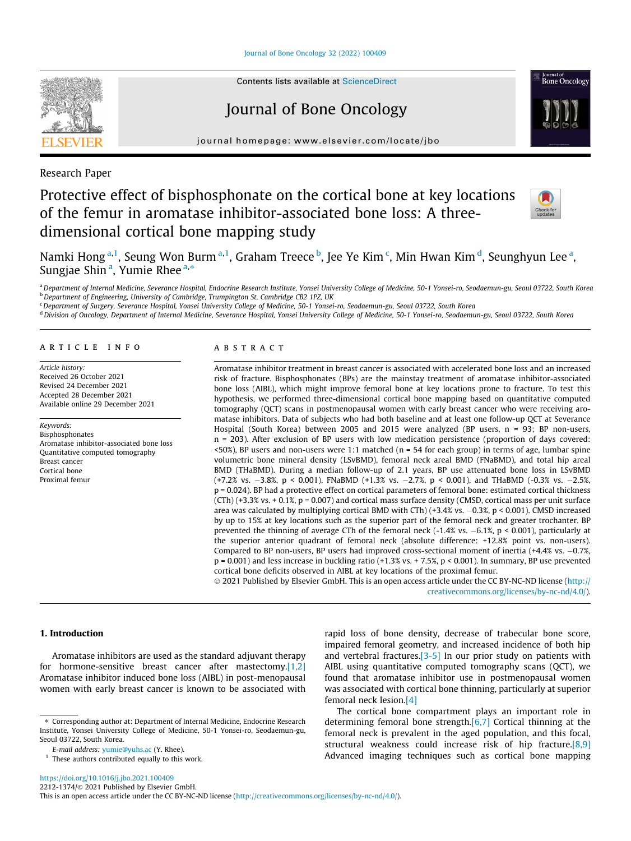[Journal of Bone Oncology 32 \(2022\) 100409](https://doi.org/10.1016/j.jbo.2021.100409)



# Journal of Bone Oncology

journal homepage: [www.elsevier.com/locate/jbo](http://www.elsevier.com/locate/jbo)

Research Paper

## Protective effect of bisphosphonate on the cortical bone at key locations of the femur in aromatase inhibitor-associated bone loss: A threedimensional cortical bone mapping study



<sup>Journal of</sup><br>Bone Oncology

Namki Hong <sup>a, 1</sup>, Seung Won Burm <sup>a, 1</sup>, Graham Treece <sup>b</sup>, Jee Ye Kim <sup>c</sup>, Min Hwan Kim <sup>d</sup>, Seunghyun Lee <sup>a</sup>, Sungjae Shin <sup>a</sup>, Yumie Rhee <sup>a,</sup>\*

a Department of Internal Medicine, Severance Hospital, Endocrine Research Institute, Yonsei University College of Medicine, 50-1 Yonsei-ro, Seodaemun-gu, Seoul 03722, South Korea <sup>b</sup> Department of Engineering, University of Cambridge, Trumpington St, Cambridge CB2 1PZ, UK

<sup>c</sup> Department of Surgery, Severance Hospital, Yonsei University College of Medicine, 50-1 Yonsei-ro, Seodaemun-gu, Seoul 03722, South Korea

d Division of Oncology, Department of Internal Medicine, Severance Hospital, Yonsei University College of Medicine, 50-1 Yonsei-ro, Seodaemun-gu, Seoul 03722, South Korea

#### article info

Article history: Received 26 October 2021 Revised 24 December 2021 Accepted 28 December 2021 Available online 29 December 2021

Keywords: Bisphosphonates Aromatase inhibitor-associated bone loss Quantitative computed tomography Breast cancer Cortical bone Proximal femur

## ABSTRACT

Aromatase inhibitor treatment in breast cancer is associated with accelerated bone loss and an increased risk of fracture. Bisphosphonates (BPs) are the mainstay treatment of aromatase inhibitor-associated bone loss (AIBL), which might improve femoral bone at key locations prone to fracture. To test this hypothesis, we performed three-dimensional cortical bone mapping based on quantitative computed tomography (QCT) scans in postmenopausal women with early breast cancer who were receiving aromatase inhibitors. Data of subjects who had both baseline and at least one follow-up QCT at Severance Hospital (South Korea) between 2005 and 2015 were analyzed (BP users, n = 93; BP non-users, n = 203). After exclusion of BP users with low medication persistence (proportion of days covered: <50%), BP users and non-users were 1:1 matched (n = 54 for each group) in terms of age, lumbar spine volumetric bone mineral density (LSvBMD), femoral neck areal BMD (FNaBMD), and total hip areal BMD (THaBMD). During a median follow-up of 2.1 years, BP use attenuated bone loss in LSvBMD  $(+7.2\% \text{ vs. } -3.8\%, \text{ p } < 0.001)$ , FNaBMD  $(+1.3\% \text{ vs. } -2.7\%, \text{ p } < 0.001)$ , and THaBMD  $(-0.3\% \text{ vs. } -2.5\%, \text{ p } < 0.001)$ p = 0.024). BP had a protective effect on cortical parameters of femoral bone: estimated cortical thickness (CTh) (+3.3% vs. + 0.1%, p = 0.007) and cortical mass surface density (CMSD, cortical mass per unit surface area was calculated by multiplying cortical BMD with CTh)  $(+3.4\%$  vs.  $-0.3\%$ , p < 0.001). CMSD increased by up to 15% at key locations such as the superior part of the femoral neck and greater trochanter. BP prevented the thinning of average CTh of the femoral neck  $(-1.4\% \text{ vs. } -6.1\%, \text{ p} < 0.001)$ , particularly at the superior anterior quadrant of femoral neck (absolute difference: +12.8% point vs. non-users). Compared to BP non-users, BP users had improved cross-sectional moment of inertia  $(+4.4\%$  vs.  $-0.7\%$ ,  $p = 0.001$ ) and less increase in buckling ratio (+1.3% vs. + 7.5%,  $p < 0.001$ ). In summary, BP use prevented cortical bone deficits observed in AIBL at key locations of the proximal femur.

 2021 Published by Elsevier GmbH. This is an open access article under the CC BY-NC-ND license ([http://](http://creativecommons.org/licenses/by-nc-nd/4.0/) [creativecommons.org/licenses/by-nc-nd/4.0/](http://creativecommons.org/licenses/by-nc-nd/4.0/)).

## 1. Introduction

Aromatase inhibitors are used as the standard adjuvant therapy for hormone-sensitive breast cancer after mastectomy[.\[1,2\]](#page-6-0) Aromatase inhibitor induced bone loss (AIBL) in post-menopausal women with early breast cancer is known to be associated with

<https://doi.org/10.1016/j.jbo.2021.100409>

rapid loss of bone density, decrease of trabecular bone score, impaired femoral geometry, and increased incidence of both hip and vertebral fractures[.\[3-5\]](#page-6-0) In our prior study on patients with AIBL using quantitative computed tomography scans (QCT), we found that aromatase inhibitor use in postmenopausal women was associated with cortical bone thinning, particularly at superior femoral neck lesion[.\[4\]](#page-6-0)

The cortical bone compartment plays an important role in determining femoral bone strength[.\[6,7\]](#page-6-0) Cortical thinning at the femoral neck is prevalent in the aged population, and this focal, structural weakness could increase risk of hip fracture.<sup>[8,9]</sup> Advanced imaging techniques such as cortical bone mapping

<sup>⇑</sup> Corresponding author at: Department of Internal Medicine, Endocrine Research Institute, Yonsei University College of Medicine, 50-1 Yonsei-ro, Seodaemun-gu, Seoul 03722, South Korea.

E-mail address: [yumie@yuhs.ac](mailto:yumie@yuhs.ac) (Y. Rhee).

 $1$  These authors contributed equally to this work.

This is an open access article under the CC BY-NC-ND license ([http://creativecommons.org/licenses/by-nc-nd/4.0/\)](http://creativecommons.org/licenses/by-nc-nd/4.0/).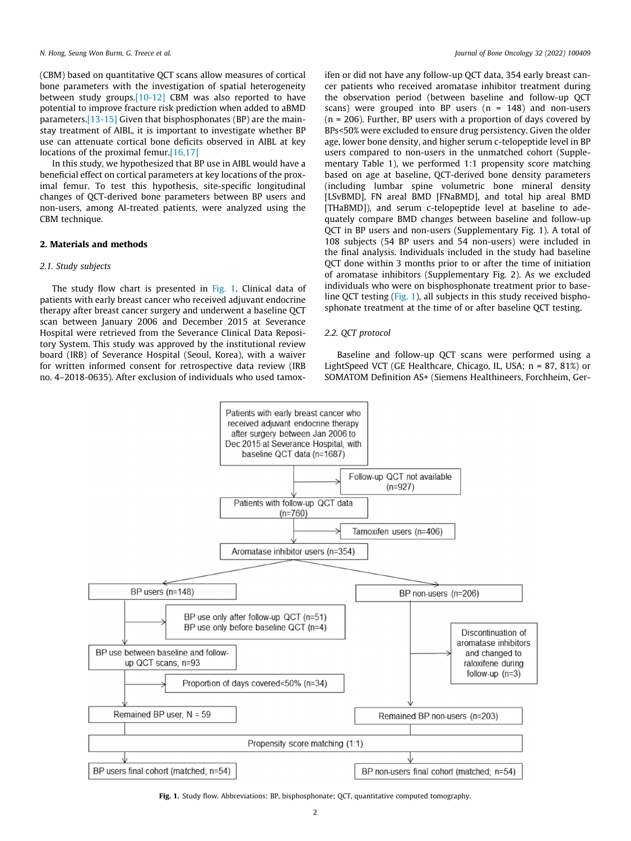(CBM) based on quantitative QCT scans allow measures of cortical bone parameters with the investigation of spatial heterogeneity between study groups.[\[10-12\]](#page-6-0) CBM was also reported to have potential to improve fracture risk prediction when added to aBMD parameters[.\[13-15\]](#page-6-0) Given that bisphosphonates (BP) are the mainstay treatment of AIBL, it is important to investigate whether BP use can attenuate cortical bone deficits observed in AIBL at key locations of the proximal femur.<sup>[16,17]</sup>

In this study, we hypothesized that BP use in AIBL would have a beneficial effect on cortical parameters at key locations of the proximal femur. To test this hypothesis, site-specific longitudinal changes of QCT-derived bone parameters between BP users and non-users, among AI-treated patients, were analyzed using the CBM technique.

## 2. Materials and methods

#### 2.1. Study subjects

The study flow chart is presented in Fig. 1. Clinical data of patients with early breast cancer who received adjuvant endocrine therapy after breast cancer surgery and underwent a baseline QCT scan between January 2006 and December 2015 at Severance Hospital were retrieved from the Severance Clinical Data Repository System. This study was approved by the institutional review board (IRB) of Severance Hospital (Seoul, Korea), with a waiver for written informed consent for retrospective data review (IRB no. 4–2018-0635). After exclusion of individuals who used tamoxifen or did not have any follow-up QCT data, 354 early breast cancer patients who received aromatase inhibitor treatment during the observation period (between baseline and follow-up QCT scans) were grouped into BP users  $(n = 148)$  and non-users  $(n = 206)$ . Further, BP users with a proportion of days covered by BPs<50% were excluded to ensure drug persistency. Given the older age, lower bone density, and higher serum c-telopeptide level in BP users compared to non-users in the unmatched cohort (Supplementary Table 1), we performed 1:1 propensity score matching based on age at baseline, QCT-derived bone density parameters (including lumbar spine volumetric bone mineral density [LSvBMD], FN areal BMD [FNaBMD], and total hip areal BMD [THaBMD]), and serum c-telopeptide level at baseline to adequately compare BMD changes between baseline and follow-up QCT in BP users and non-users (Supplementary Fig. 1). A total of 108 subjects (54 BP users and 54 non-users) were included in the final analysis. Individuals included in the study had baseline QCT done within 3 months prior to or after the time of initiation of aromatase inhibitors (Supplementary Fig. 2). As we excluded individuals who were on bisphosphonate treatment prior to baseline QCT testing (Fig. 1), all subjects in this study received bisphosphonate treatment at the time of or after baseline QCT testing.

## 2.2. QCT protocol

Baseline and follow-up QCT scans were performed using a LightSpeed VCT (GE Healthcare, Chicago, IL, USA; n = 87, 81%) or SOMATOM Definition AS+ (Siemens Healthineers, Forchheim, Ger-



Fig. 1. Study flow. Abbreviations: BP, bisphosphonate; QCT, quantitative computed tomography.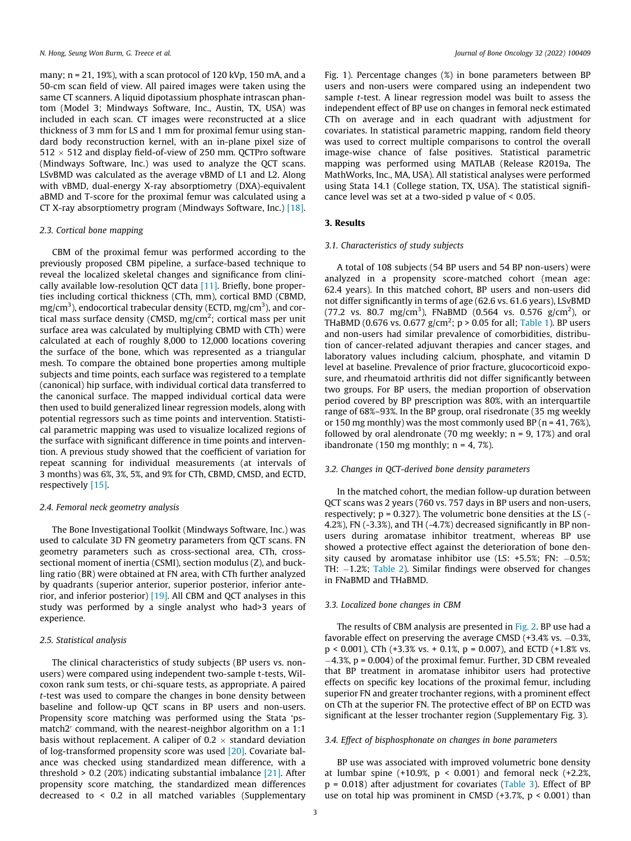many; n = 21, 19%), with a scan protocol of 120 kVp, 150 mA, and a 50-cm scan field of view. All paired images were taken using the same CT scanners. A liquid dipotassium phosphate intrascan phantom (Model 3; Mindways Software, Inc., Austin, TX, USA) was included in each scan. CT images were reconstructed at a slice thickness of 3 mm for LS and 1 mm for proximal femur using standard body reconstruction kernel, with an in-plane pixel size of  $512 \times 512$  and display field-of-view of 250 mm. QCTPro software (Mindways Software, Inc.) was used to analyze the QCT scans. LSvBMD was calculated as the average vBMD of L1 and L2. Along with vBMD, dual-energy X-ray absorptiometry (DXA)-equivalent aBMD and T-score for the proximal femur was calculated using a CT X-ray absorptiometry program (Mindways Software, Inc.) [\[18\].](#page-6-0)

#### 2.3. Cortical bone mapping

CBM of the proximal femur was performed according to the previously proposed CBM pipeline, a surface-based technique to reveal the localized skeletal changes and significance from clinically available low-resolution QCT data [\[11\]](#page-6-0). Briefly, bone properties including cortical thickness (CTh, mm), cortical BMD (CBMD, mg/cm $^3$ ), endocortical trabecular density (ECTD, mg/cm $^3$ ), and cortical mass surface density (CMSD, mg/cm<sup>2</sup>; cortical mass per unit surface area was calculated by multiplying CBMD with CTh) were calculated at each of roughly 8,000 to 12,000 locations covering the surface of the bone, which was represented as a triangular mesh. To compare the obtained bone properties among multiple subjects and time points, each surface was registered to a template (canonical) hip surface, with individual cortical data transferred to the canonical surface. The mapped individual cortical data were then used to build generalized linear regression models, along with potential regressors such as time points and intervention. Statistical parametric mapping was used to visualize localized regions of the surface with significant difference in time points and intervention. A previous study showed that the coefficient of variation for repeat scanning for individual measurements (at intervals of 3 months) was 6%, 3%, 5%, and 9% for CTh, CBMD, CMSD, and ECTD, respectively [\[15\]](#page-6-0).

## 2.4. Femoral neck geometry analysis

The Bone Investigational Toolkit (Mindways Software, Inc.) was used to calculate 3D FN geometry parameters from QCT scans. FN geometry parameters such as cross-sectional area, CTh, crosssectional moment of inertia (CSMI), section modulus (Z), and buckling ratio (BR) were obtained at FN area, with CTh further analyzed by quadrants (superior anterior, superior posterior, inferior anterior, and inferior posterior) [\[19\]](#page-6-0). All CBM and QCT analyses in this study was performed by a single analyst who had>3 years of experience.

#### 2.5. Statistical analysis

The clinical characteristics of study subjects (BP users vs. nonusers) were compared using independent two-sample t-tests, Wilcoxon rank sum tests, or chi-square tests, as appropriate. A paired t-test was used to compare the changes in bone density between baseline and follow-up QCT scans in BP users and non-users. Propensity score matching was performed using the Stata 'psmatch2' command, with the nearest-neighbor algorithm on a 1:1 basis without replacement. A caliper of 0.2  $\times$  standard deviation of log-transformed propensity score was used [\[20\].](#page-6-0) Covariate balance was checked using standardized mean difference, with a threshold  $> 0.2$  (20%) indicating substantial imbalance [\[21\].](#page-6-0) After propensity score matching, the standardized mean differences decreased to < 0.2 in all matched variables (Supplementary

Fig. 1). Percentage changes (%) in bone parameters between BP users and non-users were compared using an independent two sample t-test. A linear regression model was built to assess the independent effect of BP use on changes in femoral neck estimated CTh on average and in each quadrant with adjustment for covariates. In statistical parametric mapping, random field theory was used to correct multiple comparisons to control the overall image-wise chance of false positives. Statistical parametric mapping was performed using MATLAB (Release R2019a, The MathWorks, Inc., MA, USA). All statistical analyses were performed using Stata 14.1 (College station, TX, USA). The statistical significance level was set at a two-sided p value of < 0.05.

#### 3. Results

#### 3.1. Characteristics of study subjects

A total of 108 subjects (54 BP users and 54 BP non-users) were analyzed in a propensity score-matched cohort (mean age: 62.4 years). In this matched cohort, BP users and non-users did not differ significantly in terms of age (62.6 vs. 61.6 years), LSvBMD (77.2 vs. 80.7 mg/cm<sup>3</sup>), FNaBMD (0.564 vs. 0.576 g/cm<sup>2</sup>), or THaBMD (0.676 vs. 0.677  $g/cm^2$ ; p > 0.05 for all; [Table 1\)](#page-3-0). BP users and non-users had similar prevalence of comorbidities, distribution of cancer-related adjuvant therapies and cancer stages, and laboratory values including calcium, phosphate, and vitamin D level at baseline. Prevalence of prior fracture, glucocorticoid exposure, and rheumatoid arthritis did not differ significantly between two groups. For BP users, the median proportion of observation period covered by BP prescription was 80%, with an interquartile range of 68%–93%. In the BP group, oral risedronate (35 mg weekly or 150 mg monthly) was the most commonly used BP ( $n = 41, 76\%$ ), followed by oral alendronate (70 mg weekly;  $n = 9$ , 17%) and oral ibandronate (150 mg monthly;  $n = 4, 7\%$ ).

## 3.2. Changes in QCT-derived bone density parameters

In the matched cohort, the median follow-up duration between QCT scans was 2 years (760 vs. 757 days in BP users and non-users, respectively; p = 0.327). The volumetric bone densities at the LS (- 4.2%), FN (-3.3%), and TH (-4.7%) decreased significantly in BP nonusers during aromatase inhibitor treatment, whereas BP use showed a protective effect against the deterioration of bone density caused by aromatase inhibitor use (LS:  $+5.5\%$ ; FN:  $-0.5\%$ ; TH:  $-1.2\%$ ; [Table 2](#page-3-0)). Similar findings were observed for changes in FNaBMD and THaBMD.

#### 3.3. Localized bone changes in CBM

The results of CBM analysis are presented in [Fig. 2](#page-4-0). BP use had a favorable effect on preserving the average CMSD  $(+3.4\%$  vs.  $-0.3\%$ , p < 0.001), CTh (+3.3% vs. + 0.1%, p = 0.007), and ECTD (+1.8% vs. 4.3%, p = 0.004) of the proximal femur. Further, 3D CBM revealed that BP treatment in aromatase inhibitor users had protective effects on specific key locations of the proximal femur, including superior FN and greater trochanter regions, with a prominent effect on CTh at the superior FN. The protective effect of BP on ECTD was significant at the lesser trochanter region (Supplementary Fig. 3).

#### 3.4. Effect of bisphosphonate on changes in bone parameters

BP use was associated with improved volumetric bone density at lumbar spine  $(+10.9\% , p < 0.001)$  and femoral neck  $(+2.2\% ,$  $p = 0.018$ ) after adjustment for covariates ([Table 3](#page-4-0)). Effect of BP use on total hip was prominent in CMSD  $(+3.7\% , p < 0.001)$  than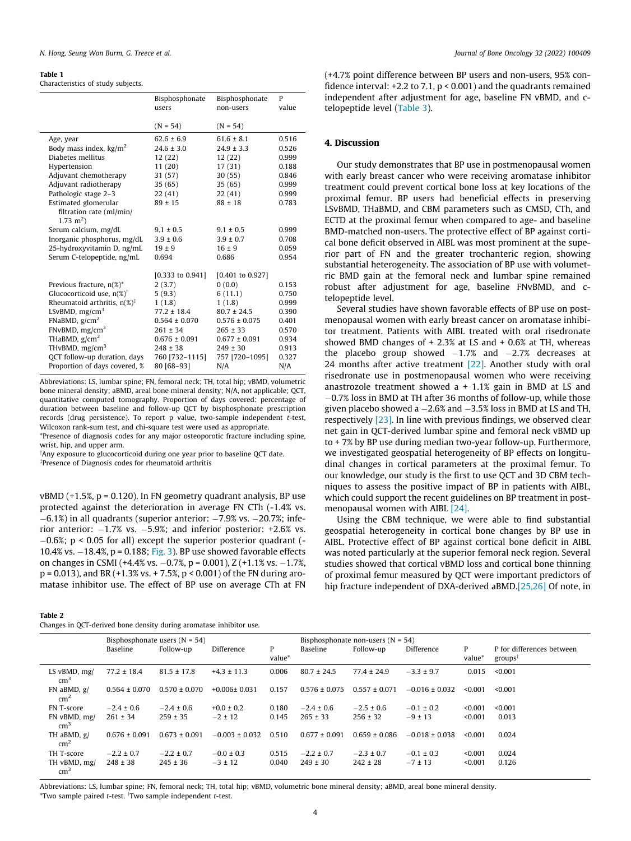#### <span id="page-3-0"></span>Table 1

Characteristics of study subjects.

|                                                  | Bisphosphonate<br>users | Bisphosphonate<br>non-users | P<br>value |
|--------------------------------------------------|-------------------------|-----------------------------|------------|
|                                                  | $(N = 54)$              | $(N = 54)$                  |            |
| Age, year                                        | $62.6 \pm 6.9$          | $61.6 \pm 8.1$              | 0.516      |
| Body mass index, $\text{kg/m}^2$                 | $24.6 \pm 3.0$          | $24.9 \pm 3.3$              | 0.526      |
| Diabetes mellitus                                | 12(22)                  | 12(22)                      | 0.999      |
| Hypertension                                     | 11(20)                  | 17(31)                      | 0.188      |
| Adjuvant chemotherapy                            | 31(57)                  | 30(55)                      | 0.846      |
| Adjuvant radiotherapy                            | 35(65)                  | 35(65)                      | 0.999      |
| Pathologic stage 2-3                             | 22(41)                  | 22(41)                      | 0.999      |
| Estimated glomerular                             | $89 \pm 15$             | $88 \pm 18$                 | 0.783      |
| filtration rate (ml/min/<br>$1.73 \text{ m}^2$ ) |                         |                             |            |
| Serum calcium, mg/dL                             | $9.1 \pm 0.5$           | $9.1 \pm 0.5$               | 0.999      |
| Inorganic phosphorus, mg/dL                      | $3.9 \pm 0.6$           | $3.9 \pm 0.7$               | 0.708      |
| 25-hydroxyvitamin D, ng/mL                       | $19 \pm 9$              | $16 \pm 9$                  | 0.059      |
| Serum C-telopeptide, ng/mL                       | 0.694                   | 0.686                       | 0.954      |
|                                                  |                         |                             |            |
|                                                  | $[0.333$ to $0.941]$    | [0.401 to 0.927]            |            |
| Previous fracture, n(%)*                         | 2(3.7)                  | 0(0.0)                      | 0.153      |
| Glucocorticoid use, $n(\%)^{\dagger}$            | 5(9.3)                  | 6(11.1)                     | 0.750      |
| Rheumatoid arthritis, $n(\%)^{\ddagger}$         | 1(1.8)                  | 1(1.8)                      | 0.999      |
| LSvBMD, $mg/cm3$                                 | $77.2 \pm 18.4$         | $80.7 \pm 24.5$             | 0.390      |
| FNaBMD, $g/cm2$                                  | $0.564 \pm 0.070$       | $0.576 \pm 0.075$           | 0.401      |
| FNvBMD, $mg/cm3$                                 | $261 \pm 34$            | $265 \pm 33$                | 0.570      |
| THaBMD, $g/cm2$                                  | $0.676 \pm 0.091$       | $0.677 \pm 0.091$           | 0.934      |
| THvBMD, $mg/cm3$                                 | $248 \pm 38$            | $249 \pm 30$                | 0.913      |
| QCT follow-up duration, days                     | 760 [732-1115]          | 757 [720-1095]              | 0.327      |
| Proportion of days covered, %                    | 80 [68-93]              | N/A                         | N/A        |
|                                                  |                         |                             |            |

Abbreviations: LS, lumbar spine; FN, femoral neck; TH, total hip; vBMD, volumetric bone mineral density; aBMD, areal bone mineral density; N/A, not applicable; QCT, quantitative computed tomography. Proportion of days covered: percentage of duration between baseline and follow-up QCT by bisphosphonate prescription records (drug persistence). To report p value, two-sample independent  $t$ -test, Wilcoxon rank-sum test, and chi-square test were used as appropriate.

\*Presence of diagnosis codes for any major osteoporotic fracture including spine, wrist, hip, and upper arm.

 $\rm ^7$ Any exposure to glucocorticoid during one year prior to baseline QCT date. Presence of Diagnosis codes for rheumatoid arthritis

 $vBMD$  (+1.5%,  $p = 0.120$ ). In FN geometry quadrant analysis, BP use protected against the deterioration in average FN CTh (-1.4% vs.  $-6.1\%$ ) in all quadrants (superior anterior:  $-7.9\%$  vs.  $-20.7\%$ ; inferior anterior:  $-1.7\%$  vs.  $-5.9\%$ ; and inferior posterior:  $+2.6\%$  vs.  $-0.6\%$ ; p < 0.05 for all) except the superior posterior quadrant (-10.4% vs.  $-18.4$ %, p = 0.188; [Fig. 3\)](#page-5-0). BP use showed favorable effects on changes in CSMI (+4.4% vs.  $-0.7$ %, p = 0.001), Z (+1.1% vs.  $-1.7$ %,  $p = 0.013$ ), and BR (+1.3% vs. + 7.5%,  $p < 0.001$ ) of the FN during aromatase inhibitor use. The effect of BP use on average CTh at FN

#### Table 2

Changes in QCT-derived bone density during aromatase inhibitor use.

(+4.7% point difference between BP users and non-users, 95% confidence interval:  $+2.2$  to 7.1,  $p < 0.001$ ) and the quadrants remained independent after adjustment for age, baseline FN vBMD, and ctelopeptide level ([Table 3\)](#page-4-0).

## 4. Discussion

Our study demonstrates that BP use in postmenopausal women with early breast cancer who were receiving aromatase inhibitor treatment could prevent cortical bone loss at key locations of the proximal femur. BP users had beneficial effects in preserving LSvBMD, THaBMD, and CBM parameters such as CMSD, CTh, and ECTD at the proximal femur when compared to age- and baseline BMD-matched non-users. The protective effect of BP against cortical bone deficit observed in AIBL was most prominent at the superior part of FN and the greater trochanteric region, showing substantial heterogeneity. The association of BP use with volumetric BMD gain at the femoral neck and lumbar spine remained robust after adjustment for age, baseline FNvBMD, and ctelopeptide level.

Several studies have shown favorable effects of BP use on postmenopausal women with early breast cancer on aromatase inhibitor treatment. Patients with AIBL treated with oral risedronate showed BMD changes of  $+ 2.3\%$  at LS and  $+ 0.6\%$  at TH, whereas the placebo group showed  $-1.7\%$  and  $-2.7\%$  decreases at 24 months after active treatment [\[22\].](#page-6-0) Another study with oral risedronate use in postmenopausal women who were receiving anastrozole treatment showed  $a + 1.1\%$  gain in BMD at LS and 0.7% loss in BMD at TH after 36 months of follow-up, while those given placebo showed a  $-2.6\%$  and  $-3.5\%$  loss in BMD at LS and TH, respectively [\[23\].](#page-6-0) In line with previous findings, we observed clear net gain in QCT-derived lumbar spine and femoral neck vBMD up to + 7% by BP use during median two-year follow-up. Furthermore, we investigated geospatial heterogeneity of BP effects on longitudinal changes in cortical parameters at the proximal femur. To our knowledge, our study is the first to use QCT and 3D CBM techniques to assess the positive impact of BP in patients with AIBL, which could support the recent guidelines on BP treatment in postmenopausal women with AIBL [\[24\]](#page-6-0).

Using the CBM technique, we were able to find substantial geospatial heterogeneity in cortical bone changes by BP use in AIBL. Protective effect of BP against cortical bone deficit in AIBL was noted particularly at the superior femoral neck region. Several studies showed that cortical vBMD loss and cortical bone thinning of proximal femur measured by QCT were important predictors of hip fracture independent of DXA-derived aBMD.[\[25,26\]](#page-6-0) Of note, in

|                                    |                   | Bisphosphonate users $(N = 54)$ |                    |             |                   | Bisphosphonate non-users ( $N = 54$ ) |                    |             |                                                  |
|------------------------------------|-------------------|---------------------------------|--------------------|-------------|-------------------|---------------------------------------|--------------------|-------------|--------------------------------------------------|
|                                    | Baseline          | Follow-up                       | Difference         | P<br>value* | Baseline          | Follow-up                             | Difference         | P<br>value* | P for differences between<br>groups <sup>†</sup> |
| LS $vBMD$ , mg/<br>cm <sup>3</sup> | $77.2 \pm 18.4$   | $81.5 \pm 17.8$                 | $+4.3 \pm 11.3$    | 0.006       | $80.7 \pm 24.5$   | $77.4 \pm 24.9$                       | $-3.3 \pm 9.7$     | 0.015       | < 0.001                                          |
| $FN$ aBMD, $g/$<br>$\text{cm}^2$   | $0.564 \pm 0.070$ | $0.570 \pm 0.070$               | $+0.006\pm 0.031$  | 0.157       | $0.576 \pm 0.075$ | $0.557 \pm 0.071$                     | $-0.016 \pm 0.032$ | < 0.001     | < 0.001                                          |
| FN T-score                         | $-2.4 \pm 0.6$    | $-2.4 \pm 0.6$                  | $+0.0 \pm 0.2$     | 0.180       | $-2.4 \pm 0.6$    | $-2.5 \pm 0.6$                        | $-0.1 \pm 0.2$     | < 0.001     | < 0.001                                          |
| FN vBMD, mg/<br>$\rm cm^3$         | $261 \pm 34$      | $259 \pm 35$                    | $-2 \pm 12$        | 0.145       | $265 \pm 33$      | $256 \pm 32$                          | $-9 \pm 13$        | < 0.001     | 0.013                                            |
| TH aBMD, g/<br>$\rm cm^2$          | $0.676 \pm 0.091$ | $0.673 \pm 0.091$               | $-0.003 \pm 0.032$ | 0.510       | $0.677 \pm 0.091$ | $0.659 \pm 0.086$                     | $-0.018 \pm 0.038$ | < 0.001     | 0.024                                            |
| TH T-score                         | $-2.2 \pm 0.7$    | $-2.2 \pm 0.7$                  | $-0.0 \pm 0.3$     | 0.515       | $-2.2 \pm 0.7$    | $-2.3 \pm 0.7$                        | $-0.1 \pm 0.3$     | < 0.001     | 0.024                                            |
| TH vBMD, mg/<br>$\text{cm}^3$      | $248 \pm 38$      | $245 \pm 36$                    | $-3 \pm 12$        | 0.040       | $249 \pm 30$      | $242 \pm 28$                          | $-7 \pm 13$        | < 0.001     | 0.126                                            |

Abbreviations: LS, lumbar spine; FN, femoral neck; TH, total hip; vBMD, volumetric bone mineral density; aBMD, areal bone mineral density. \*Two sample paired t-test. y Two sample independent t-test.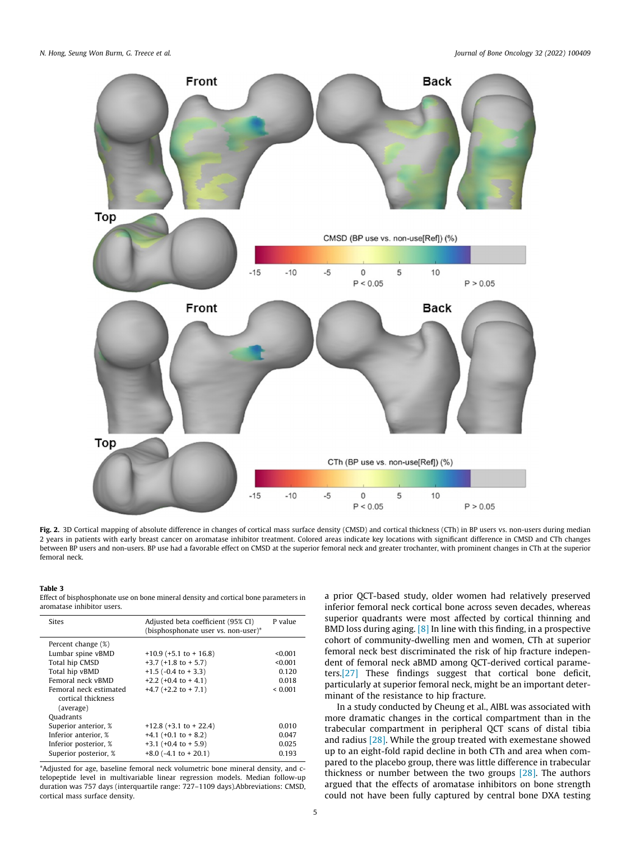<span id="page-4-0"></span>

Fig. 2. 3D Cortical mapping of absolute difference in changes of cortical mass surface density (CMSD) and cortical thickness (CTh) in BP users vs. non-users during median 2 years in patients with early breast cancer on aromatase inhibitor treatment. Colored areas indicate key locations with significant difference in CMSD and CTh changes between BP users and non-users. BP use had a favorable effect on CMSD at the superior femoral neck and greater trochanter, with prominent changes in CTh at the superior femoral neck.

#### Table 3

Effect of bisphosphonate use on bone mineral density and cortical bone parameters in aromatase inhibitor users.

| Sites                                                     | Adjusted beta coefficient (95% CI)<br>(bisphosphonate user vs. non-user)* | P value |
|-----------------------------------------------------------|---------------------------------------------------------------------------|---------|
|                                                           |                                                                           |         |
| Percent change (%)                                        |                                                                           |         |
| Lumbar spine vBMD                                         | $+10.9$ (+5.1 to + 16.8)                                                  | < 0.001 |
| Total hip CMSD                                            | $+3.7$ ( $+1.8$ to $+5.7$ )                                               | < 0.001 |
|                                                           |                                                                           |         |
| Total hip vBMD                                            | $+1.5$ (-0.4 to $+3.3$ )                                                  | 0.120   |
| Femoral neck vBMD                                         | $+2.2$ (+0.4 to + 4.1)                                                    | 0.018   |
| Femoral neck estimated<br>cortical thickness<br>(average) | $+4.7$ ( $+2.2$ to $+7.1$ )                                               | < 0.001 |
| Ouadrants                                                 |                                                                           |         |
| Superior anterior, %                                      | $+12.8$ (+3.1 to + 22.4)                                                  | 0.010   |
| Inferior anterior, %                                      | $+4.1$ (+0.1 to + 8.2)                                                    | 0.047   |
| Inferior posterior, %                                     | $+3.1$ ( $+0.4$ to $+5.9$ )                                               | 0.025   |
| Superior posterior, %                                     | $+8.0$ (-4.1 to $+20.1$ )                                                 | 0.193   |

\*Adjusted for age, baseline femoral neck volumetric bone mineral density, and ctelopeptide level in multivariable linear regression models. Median follow-up duration was 757 days (interquartile range: 727–1109 days).Abbreviations: CMSD, cortical mass surface density.

a prior QCT-based study, older women had relatively preserved inferior femoral neck cortical bone across seven decades, whereas superior quadrants were most affected by cortical thinning and BMD loss during aging. [\[8\]](#page-6-0) In line with this finding, in a prospective cohort of community-dwelling men and women, CTh at superior femoral neck best discriminated the risk of hip fracture independent of femoral neck aBMD among QCT-derived cortical parameters.[\[27\]](#page-6-0) These findings suggest that cortical bone deficit, particularly at superior femoral neck, might be an important determinant of the resistance to hip fracture.

In a study conducted by Cheung et al., AIBL was associated with more dramatic changes in the cortical compartment than in the trabecular compartment in peripheral QCT scans of distal tibia and radius [\[28\]](#page-6-0). While the group treated with exemestane showed up to an eight-fold rapid decline in both CTh and area when compared to the placebo group, there was little difference in trabecular thickness or number between the two groups [\[28\].](#page-6-0) The authors argued that the effects of aromatase inhibitors on bone strength could not have been fully captured by central bone DXA testing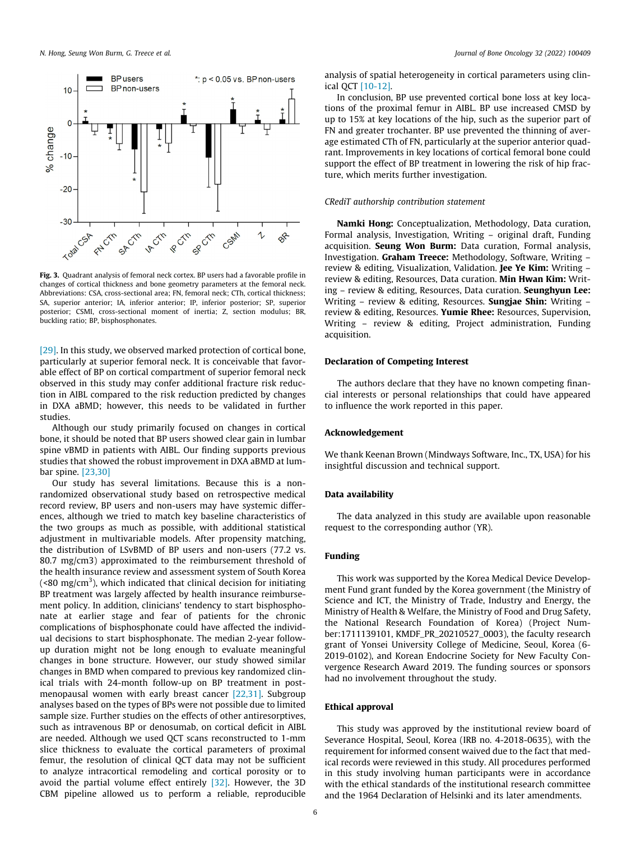<span id="page-5-0"></span>

Fig. 3. Quadrant analysis of femoral neck cortex. BP users had a favorable profile in changes of cortical thickness and bone geometry parameters at the femoral neck. Abbreviations: CSA, cross-sectional area; FN, femoral neck; CTh, cortical thickness; SA, superior anterior; IA, inferior anterior; IP, inferior posterior; SP, superior posterior; CSMI, cross-sectional moment of inertia; Z, section modulus; BR, buckling ratio; BP, bisphosphonates.

[\[29\]](#page-6-0). In this study, we observed marked protection of cortical bone, particularly at superior femoral neck. It is conceivable that favorable effect of BP on cortical compartment of superior femoral neck observed in this study may confer additional fracture risk reduction in AIBL compared to the risk reduction predicted by changes in DXA aBMD; however, this needs to be validated in further studies.

Although our study primarily focused on changes in cortical bone, it should be noted that BP users showed clear gain in lumbar spine vBMD in patients with AIBL. Our finding supports previous studies that showed the robust improvement in DXA aBMD at lumbar spine. [\[23,30\]](#page-6-0)

Our study has several limitations. Because this is a nonrandomized observational study based on retrospective medical record review, BP users and non-users may have systemic differences, although we tried to match key baseline characteristics of the two groups as much as possible, with additional statistical adjustment in multivariable models. After propensity matching, the distribution of LSvBMD of BP users and non-users (77.2 vs. 80.7 mg/cm3) approximated to the reimbursement threshold of the health insurance review and assessment system of South Korea (<80 mg/cm<sup>3</sup>), which indicated that clinical decision for initiating BP treatment was largely affected by health insurance reimbursement policy. In addition, clinicians' tendency to start bisphosphonate at earlier stage and fear of patients for the chronic complications of bisphosphonate could have affected the individual decisions to start bisphosphonate. The median 2-year followup duration might not be long enough to evaluate meaningful changes in bone structure. However, our study showed similar changes in BMD when compared to previous key randomized clinical trials with 24-month follow-up on BP treatment in postmenopausal women with early breast cancer [\[22,31\].](#page-6-0) Subgroup analyses based on the types of BPs were not possible due to limited sample size. Further studies on the effects of other antiresorptives, such as intravenous BP or denosumab, on cortical deficit in AIBL are needed. Although we used QCT scans reconstructed to 1-mm slice thickness to evaluate the cortical parameters of proximal femur, the resolution of clinical QCT data may not be sufficient to analyze intracortical remodeling and cortical porosity or to avoid the partial volume effect entirely [\[32\].](#page-6-0) However, the 3D CBM pipeline allowed us to perform a reliable, reproducible

analysis of spatial heterogeneity in cortical parameters using clinical QCT [\[10-12\].](#page-6-0)

In conclusion, BP use prevented cortical bone loss at key locations of the proximal femur in AIBL. BP use increased CMSD by up to 15% at key locations of the hip, such as the superior part of FN and greater trochanter. BP use prevented the thinning of average estimated CTh of FN, particularly at the superior anterior quadrant. Improvements in key locations of cortical femoral bone could support the effect of BP treatment in lowering the risk of hip fracture, which merits further investigation.

## CRediT authorship contribution statement

Namki Hong: Conceptualization, Methodology, Data curation, Formal analysis, Investigation, Writing – original draft, Funding acquisition. Seung Won Burm: Data curation, Formal analysis, Investigation. Graham Treece: Methodology, Software, Writing – review & editing, Visualization, Validation. Jee Ye Kim: Writing review & editing, Resources, Data curation. Min Hwan Kim: Writing – review & editing, Resources, Data curation. Seunghyun Lee: Writing – review & editing, Resources. Sungjae Shin: Writing – review & editing, Resources. Yumie Rhee: Resources, Supervision, Writing – review & editing, Project administration, Funding acquisition.

#### Declaration of Competing Interest

The authors declare that they have no known competing financial interests or personal relationships that could have appeared to influence the work reported in this paper.

#### Acknowledgement

We thank Keenan Brown (Mindways Software, Inc., TX, USA) for his insightful discussion and technical support.

#### Data availability

The data analyzed in this study are available upon reasonable request to the corresponding author (YR).

## Funding

This work was supported by the Korea Medical Device Development Fund grant funded by the Korea government (the Ministry of Science and ICT, the Ministry of Trade, Industry and Energy, the Ministry of Health & Welfare, the Ministry of Food and Drug Safety, the National Research Foundation of Korea) (Project Number:1711139101, KMDF\_PR\_20210527\_0003), the faculty research grant of Yonsei University College of Medicine, Seoul, Korea (6- 2019-0102), and Korean Endocrine Society for New Faculty Convergence Research Award 2019. The funding sources or sponsors had no involvement throughout the study.

#### Ethical approval

This study was approved by the institutional review board of Severance Hospital, Seoul, Korea (IRB no. 4-2018-0635), with the requirement for informed consent waived due to the fact that medical records were reviewed in this study. All procedures performed in this study involving human participants were in accordance with the ethical standards of the institutional research committee and the 1964 Declaration of Helsinki and its later amendments.